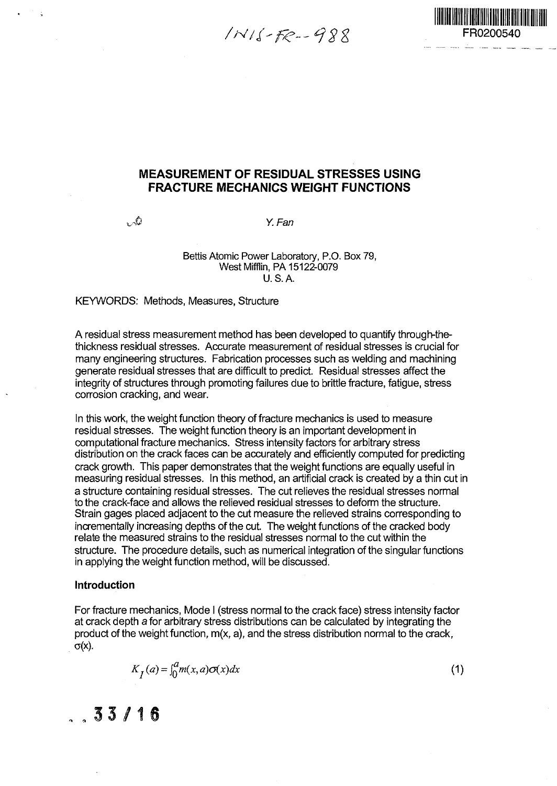$1116 - F_{e} - 988$ 



#### **MEASUREMENT OF RESIDUAL STRESSES USING FRACTURE MECHANICS WEIGHT FUNCTIONS**

 $\mathcal{L}^{\mathbb{Q}}$  Y. Fan

Bettis Atomic Power Laboratory, P.O. Box 79, West Mifflin, PA 15122-0079 U.S.A.

KEYWORDS: Methods, Measures, Structure

A residual stress measurement method has been developed to quantify through-thethickness residual stresses. Accurate measurement of residual stresses is crucial for many engineering structures. Fabrication processes such as welding and machining generate residual stresses that are difficult to predict. Residual stresses affect the integrity of structures through promoting failures due to brittle fracture, fatigue, stress corrosion cracking, and wear.

In this work, the weight function theory of fracture mechanics is used to measure residual stresses. The weight function theory is an important development in computational fracture mechanics. Stress intensity factors for arbitrary stress distribution on the crack faces can be accurately and efficiently computed for predicting crack growth. This paper demonstrates that the weight functions are equally useful in measuring residual stresses. In this method, an artificial crack is created by a thin cut in a structure containing residual stresses. The cut relieves the residual stresses normal to the crack-face and allows the relieved residual stresses to deform the structure. Strain gages placed adjacent to the cut measure the relieved strains corresponding to incrementally increasing depths of the cut. The weight functions of the cracked body relate the measured strains to the residual stresses normal to the cut within the structure. The procedure details, such as numerical integration of the singular functions in applying the weight function method, will be discussed.

#### **Introduction**

For fracture mechanics, Mode I (stress normal to the crack face) stress intensity factor at crack depth a for arbitrary stress distributions can be calculated by integrating the product of the weight function, m(x, a), and the stress distribution normal to the crack,  $\sigma(x)$ .

$$
K_{\underline{I}}(a) = \int_0^a m(x, a)\sigma(x)dx\tag{1}
$$

#### $33/16$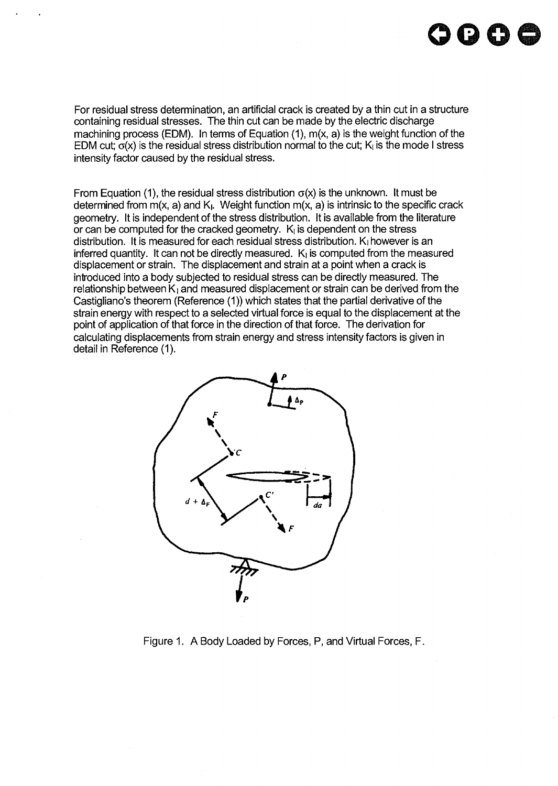For residual stress determination, an artificial crack is created by a thin cut in a structure containing residual stresses. The thin cut can be made by the electric discharge machining process (EDM). In terms of Equation (1), m(x, a) is the weight function of the EDM cut;  $\sigma(x)$  is the residual stress distribution normal to the cut; K<sub>i</sub> is the mode I stress intensity factor caused by the residual stress.

From Equation (1), the residual stress distribution  $\sigma(x)$  is the unknown. It must be determined from  $m(x, a)$  and  $K<sub>l</sub>$ . Weight function  $m(x, a)$  is intrinsic to the specific crack geometry. It is independent of the stress distribution. It is available from the literature or can be computed for the cracked geometry.  $K<sub>l</sub>$  is dependent on the stress distribution. It is measured for each residual stress distribution.  $K_l$  however is an inferred quantity. It can not be directly measured.  $K<sub>1</sub>$  is computed from the measured displacement or strain. The displacement and strain at a point when a crack is introduced into a body subjected to residual stress can be directly measured. The relationship between  $K_1$  and measured displacement or strain can be derived from the Castigliano's theorem (Reference (1)) which states that the partial derivative of the strain energy with respect to a selected virtual force is equal to the displacement at the point of application of that force in the direction of that force. The derivation for calculating displacements from strain energy and stress intensity factors is given in detail in Reference (1).



Figure 1. A Body Loaded by Forces, P, and Virtual Forces, F.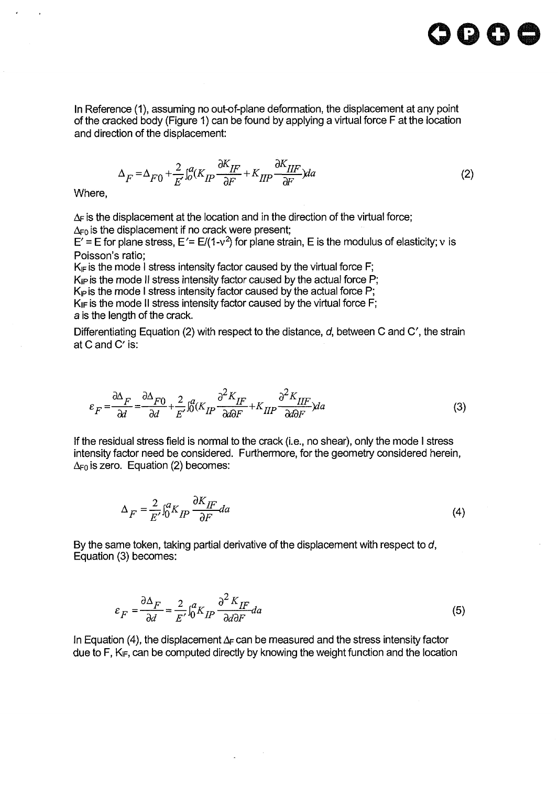

In Reference (1), assuming no out-of-plane deformation, the displacement at any point of the cracked body (Figure 1) can be found by applying a virtual force F at the location and direction of the displacement:

$$
\Delta_F = \Delta_{F0} + \frac{2}{E} \int_0^a (K_{IP} \frac{\partial K_{IF}}{\partial F} + K_{IIP} \frac{\partial K_{IIF}}{\partial F}) da \tag{2}
$$

Where,

 $\ddot{\phantom{1}}$ 

 $\Delta_F$  is the displacement at the location and in the direction of the virtual force;

 $\Delta_{\text{F0}}$  is the displacement if no crack were present;

E' = E for plane stress, E'= E/(1-v<sup>2</sup>) for plane strain, E is the modulus of elasticity; v is Poisson's ratio;

 $K_F$  is the mode I stress intensity factor caused by the virtual force F;  $K_{\text{IP}}$  is the mode II stress intensity factor caused by the actual force P;  $K_{\text{P}}$  is the mode I stress intensity factor caused by the actual force P;  $K_{\parallel F}$  is the mode II stress intensity factor caused by the virtual force F; a is the length of the crack.

Differentiating Equation (2) with respect to the distance,  $d$ , between C and C', the strain at C and C' is:

$$
\varepsilon_F = \frac{\partial \Delta_F}{\partial d} = \frac{\partial \Delta_{F0}}{\partial d} + \frac{2}{E'} \int_0^a (K_{IP} \frac{\partial^2 K_{IF}}{\partial d\partial F} + K_{II} \frac{\partial^2 K_{II}F}{\partial d\partial F}) da \tag{3}
$$

If the residual stress field is normal to the crack (i.e., no shear), only the mode I stress intensity factor need be considered. Furthermore, for the geometry considered herein,  $\Delta_{\text{F0}}$  is zero. Equation (2) becomes:

$$
\Delta_F = \frac{2}{E'} \int_0^a K_{IP} \frac{\partial K_{IF}}{\partial F} da \tag{4}
$$

By the same token, taking partial derivative of the displacement with respect to d, Equation (3) becomes:

$$
\varepsilon_F = \frac{\partial \Delta_F}{\partial d} = \frac{2}{E'} \int_0^a K_{IP} \frac{\partial^2 K_{IF}}{\partial d \partial F} da \tag{5}
$$

In Equation (4), the displacement  $\Delta_F$  can be measured and the stress intensity factor due to F,  $K_{IF}$ , can be computed directly by knowing the weight function and the location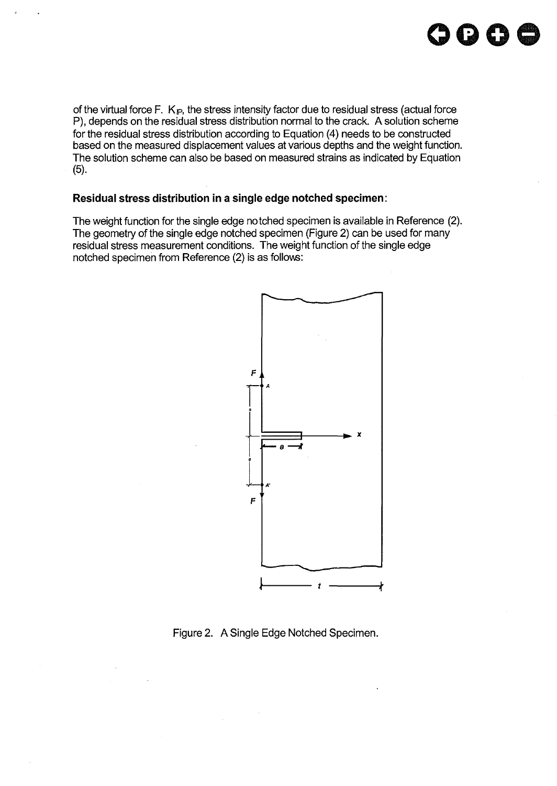of the virtual force F.  $K_{\mathbb{P}}$ , the stress intensity factor due to residual stress (actual force P), depends on the residual stress distribution normal to the crack. A solution scheme for the residual stress distribution according to Equation (4) needs to be constructed based on the measured displacement values at various depths and the weight function. The solution scheme can also be based on measured strains as indicated by Equation (5).

**oooo**

#### **Residual stress distribution in a single edge notched specimen:**

The weight function for the single edge notched specimen is available in Reference (2). The geometry of the single edge notched specimen (Figure 2) can be used for many residual stress measurement conditions. The weight function of the single edge notched specimen from Reference (2) is as follows:



Figure 2. A Single Edge Notched Specimen.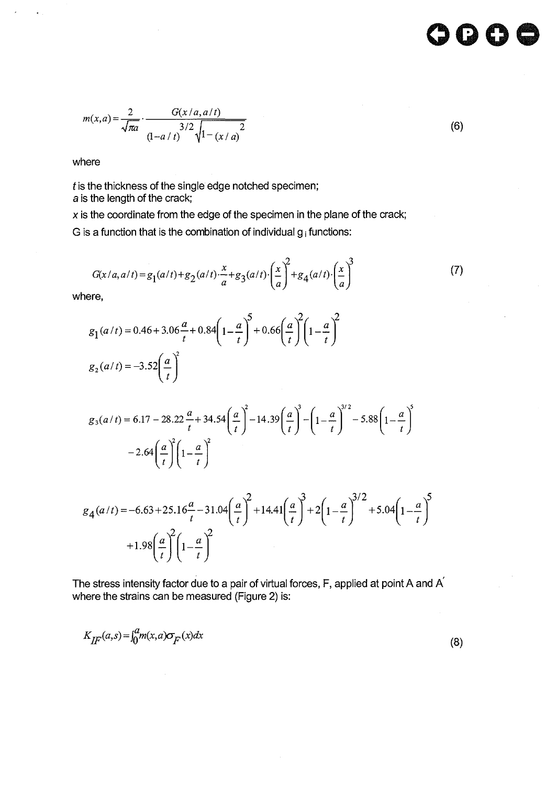$$
m(x,a) = \frac{2}{\sqrt{\pi a}} \cdot \frac{G(x/a, a/t)}{(1 - a/t)^{3/2} \sqrt{1 - (x/a)^{2}}}
$$
(6)

where

 $\ddot{\phantom{a}}$ 

 $t$  is the thickness of the single edge notched specimen; a is the length of the crack;

 $x$  is the coordinate from the edge of the specimen in the plane of the crack;

G is a function that is the combination of individual  $g_i$  functions:

$$
G(x/a, a/t) = g_1(a/t) + g_2(a/t) \cdot \frac{x}{a} + g_3(a/t) \cdot \left(\frac{x}{a}\right)^2 + g_4(a/t) \cdot \left(\frac{x}{a}\right)^3
$$
 (7)

where,

$$
g_1(a/t) = 0.46 + 3.06\frac{a}{t} + 0.84\left(1 - \frac{a}{t}\right)^5 + 0.66\left(\frac{a}{t}\right)^2 \left(1 - \frac{a}{t}\right)^2
$$
  
 $g_2(a/t) = -3.52\left(\frac{a}{t}\right)^2$ 

$$
g_3(a/t) = 6.17 - 28.22 \frac{a}{t} + 34.54 \left(\frac{a}{t}\right)^2 - 14.39 \left(\frac{a}{t}\right)^3 - \left(1 - \frac{a}{t}\right)^{3/2} - 5.88 \left(1 - \frac{a}{t}\right)^5 - 2.64 \left(\frac{a}{t}\right)^2 \left(1 - \frac{a}{t}\right)^2
$$

$$
g_4(a/t) = -6.63 + 25.16\frac{a}{t} - 31.04\left(\frac{a}{t}\right)^2 + 14.41\left(\frac{a}{t}\right)^3 + 2\left(1 - \frac{a}{t}\right)^{3/2} + 5.04\left(1 - \frac{a}{t}\right)^5 + 1.98\left(\frac{a}{t}\right)^2 \left(1 - \frac{a}{t}\right)^2
$$

The stress intensity factor due to a pair of virtual forces, F, applied at point A and A where the strains can be measured (Figure 2) is:

$$
K_{\text{HF}}(a,s) = \int_0^a m(x,a)\sigma_{\text{F}}(x)dx\tag{8}
$$

oo c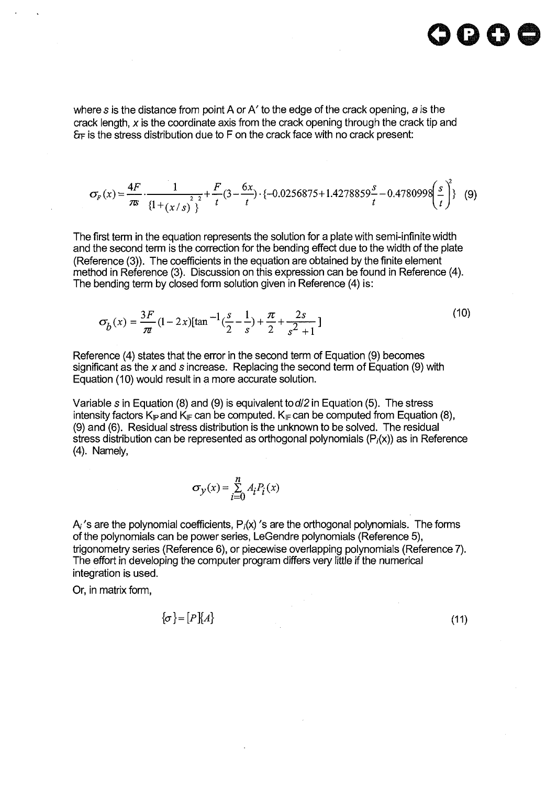where s is the distance from point A or A' to the edge of the crack opening, a is the crack length, x is the coordinate axis from the crack opening through the crack tip and &F is the stress distribution due to F on the crack face with no crack present:

$$
\sigma_F(x) = \frac{4F}{\pi} \cdot \frac{1}{\left\{1 + \left(x \mid s\right)\right\}^2} + \frac{F}{t} \left(3 - \frac{6x}{t}\right) \cdot \left\{-0.0256875 + 1.4278859 \frac{s}{t} - 0.4780998 \left(\frac{s}{t}\right)^2\right\} \tag{9}
$$

The first term in the equation represents the solution for a plate with semi-infinite width and the second term is the correction for the bending effect due to the width of the plate (Reference (3)). The coefficients in the equation are obtained by the finite element method in Reference (3). Discussion on this expression can be found in Reference (4). The bending term by closed form solution given in Reference (4) is:

$$
\sigma_{b}(x) = \frac{3F}{\pi} (1 - 2x) [\tan^{-1} (\frac{s}{2} - \frac{1}{s}) + \frac{\pi}{2} + \frac{2s}{s^{2} + 1}]
$$
\n(10)

Reference (4) states that the error in the second term of Equation (9) becomes significant as the x and s increase. Replacing the second term of Equation (9) with Equation (10) would result in a more accurate solution.

Variable s in Equation (8) and (9) is equivalent to  $d/2$  in Equation (5). The stress intensity factors  $K_{\mathbb{P}}$  and  $K_{\mathbb{F}}$  can be computed.  $K_{\mathbb{F}}$  can be computed from Equation (8), (9) and (6). Residual stress distribution is the unknown to be solved. The residual stress distribution can be represented as orthogonal polynomials  $(P<sub>i</sub>(x))$  as in Reference (4). Namely,

$$
\sigma_y(x) = \sum_{i=0}^{n} A_i P_i(x)
$$

 $A_i$ 's are the polynomial coefficients,  $P_i(x)$ 's are the orthogonal polynomials. The forms of the polynomials can be power series, LeGendre polynomials (Reference 5), trigonometry series (Reference 6), or piecewise overlapping polynomials (Reference 7). The effort in developing the computer program differs very little if the numerical integration is used.

Or, in matrix form,

$$
\{\sigma\} = [P]\{A\} \tag{11}
$$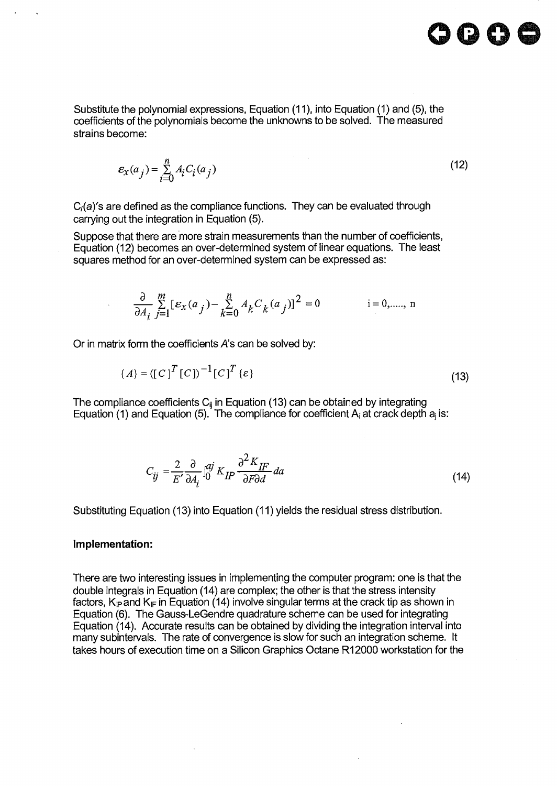Substitute the polynomial expressions, Equation (11), into Equation (1) and (5), the coefficients of the polynomials become the unknowns to be solved. The measured strains become:

$$
\varepsilon_{\mathbf{x}}(a_j) = \sum_{i=0}^{n} A_i C_i(a_j)
$$
\n(12)

 $C<sub>i</sub>(a)'$ s are defined as the compliance functions. They can be evaluated through carrying out the integration in Equation (5).

Suppose that there are more strain measurements than the number of coefficients, Equation (12) becomes an over-determined system of linear equations. The least squares method for an over-determined system can be expressed as:

$$
\frac{\partial}{\partial A_i} \sum_{j=1}^{m} [\varepsilon_x(a_j) - \sum_{k=0}^{n} A_k C_k(a_j)]^2 = 0
$$
 i = 0, ..., n

Or in matrix form the coefficients  $A$ 's can be solved by:

$$
\{A\} = (\llbracket C \rrbracket^T \llbracket C \rrbracket^T \llbracket C \rrbracket^T \{ \varepsilon \} \tag{13}
$$

The compliance coefficients  $C_{ij}$  in Equation (13) can be obtained by integrating Equation (1) and Equation (5). The compliance for coefficient  $A_i$  at crack depth  $a_i$  is:

$$
C_{ij} = \frac{2}{E'} \frac{\partial}{\partial A_i} \int_0^{aj} K_{IP} \frac{\partial^2 K_{IF}}{\partial F \partial d} da \tag{14}
$$

Substituting Equation (13) into Equation (11) yields the residual stress distribution.

#### **Implementation:**

There are two interesting issues in implementing the computer program: one is that the double integrals in Equation (14) are complex; the other is that the stress intensity factors,  $K_{\mathbb{P}}$  and  $K_{\mathbb{F}}$  in Equation (14) involve singular terms at the crack tip as shown in Equation (6). The Gauss-LeGendre quadrature scheme can be used for integrating Equation (14). Accurate results can be obtained by dividing the integration interval into many subintervals. The rate of convergence is slow for such an integration scheme. It takes hours of execution time on a Silicon Graphics Octane R12000 workstation for the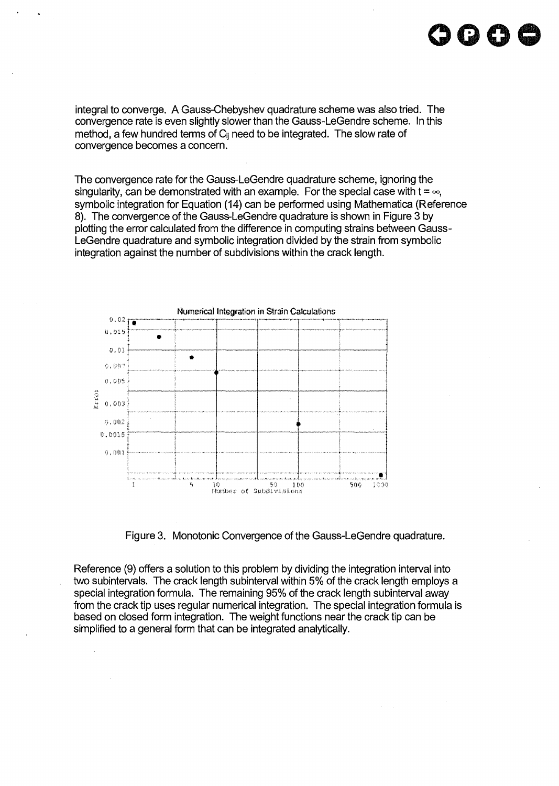integral to converge. A Gauss-Chebyshev quadrature scheme was also tried. The convergence rate is even slightly slower than the Gauss-LeGendre scheme. In this method, a few hundred terms of  $C_{ii}$  need to be integrated. The slow rate of convergence becomes a concern.

The convergence rate for the Gauss-LeGendre quadrature scheme, ignoring the singularity, can be demonstrated with an example. For the special case with  $t = \infty$ , symbolic integration for Equation (14) can be performed using Mathematica (Reference 8). The convergence of the Gauss-LeGendre quadrature is shown in Figure 3 by plotting the error calculated from the difference in computing strains between Gauss-LeGendre quadrature and symbolic integration divided by the strain from symbolic integration against the number of subdivisions within the crack length.



Figure 3. Monotonic Convergence of the Gauss-LeGendre quadrature.

Reference (9) offers a solution to this problem by dividing the integration interval into two subintervals. The crack length subinterval within 5% of the crack length employs a special integration formula. The remaining 95% of the crack length subinterval away from the crack tip uses regular numerical integration. The special integration formula is based on closed form integration. The weight functions near the crack tip can be simplified to a general form that can be integrated analytically.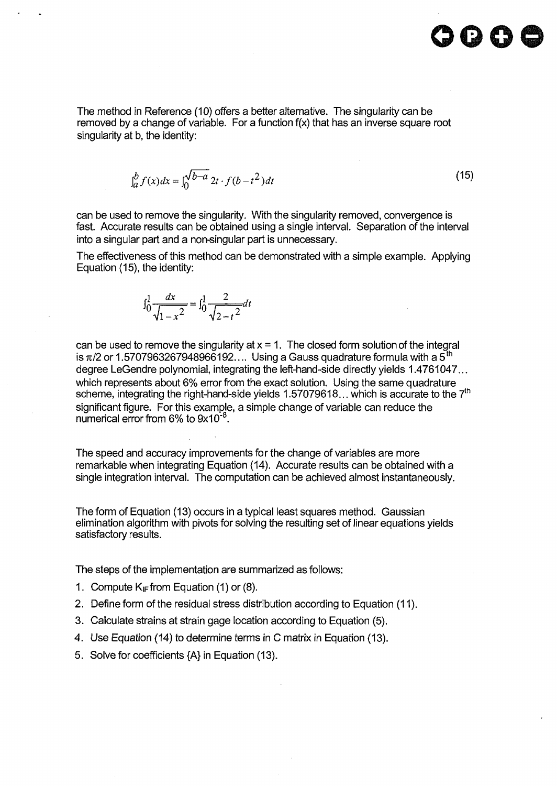

The method in Reference (10) offers a better alternative. The singularity can be removed by a change of variable. For a function  $f(x)$  that has an inverse square root singularity at b, the identity:

$$
\int_{a}^{b} f(x)dx = \int_{0}^{\sqrt{b-a}} 2t \cdot f(b - t^2)dt
$$
\n(15)

can be used to remove the singularity. With the singularity removed, convergence is fast. Accurate results can be obtained using a single interval. Separation of the interval into a singular part and a non-singular part is unnecessary.

The effectiveness of this method can be demonstrated with a simple example. Applying Equation (15), the identity:

$$
\int_0^1 \frac{dx}{\sqrt{1-x^2}} = \int_0^1 \frac{2}{\sqrt{2-t^2}} dt
$$

can be used to remove the singularity at  $x = 1$ . The closed form solution of the integral is  $\pi/2$  or 1.5707963267948966192.... Using a Gauss quadrature formula with a 5<sup>th</sup> degree LeGendre polynomial, integrating the left-hand-side directly yields 1.4761047... which represents about 6% error from the exact solution. Using the same quadrature scheme, integrating the right-hand-side yields 1.57079618... which is accurate to the 7<sup>th</sup> significant figure. For this example, a simple change of variable can reduce the numerical error from 6% to 9x10 $^{\text{-}8}$ .

The speed and accuracy improvements for the change of variables are more remarkable when integrating Equation (14). Accurate results can be obtained with a single integration interval. The computation can be achieved almost instantaneously.

The form of Equation (13) occurs in a typical least squares method. Gaussian elimination algorithm with pivots for solving the resulting set of linear equations yields satisfactory results.

The steps of the implementation are summarized as follows:

- 1. Compute  $K<sub>IF</sub>$  from Equation (1) or (8).
- 2. Define form of the residual stress distribution according to Equation (11).
- 3. Calculate strains at strain gage location according to Equation (5).
- 4. Use Equation (14) to determine terms in C matrix in Equation (13).
- 5. Solve for coefficients {A} in Equation (13).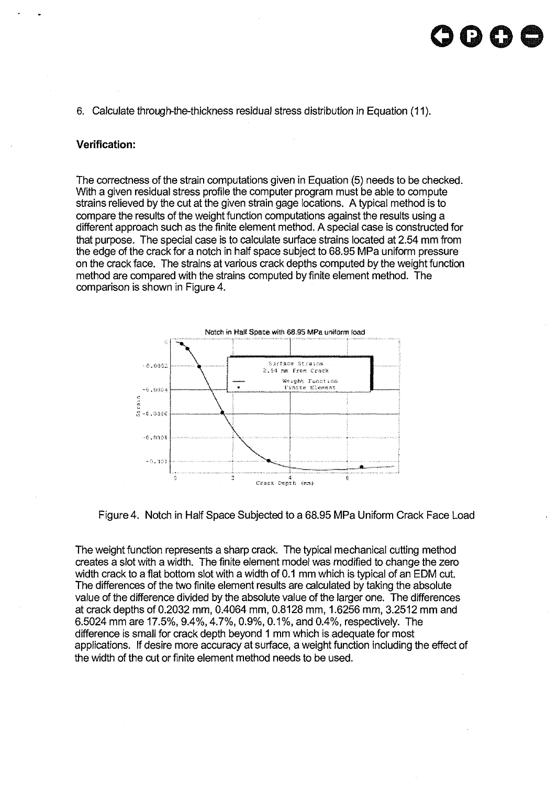## **oooo**

6. Calculate through-the-thickness residual stress distribution in Equation (11).

#### **Verification:**

The correctness of the strain computations given in Equation (5) needs to be checked. With a given residual stress profile the computer program must be able to compute strains relieved by the cut at the given strain gage locations. A typical method is to compare the results of the weight function computations against the results using a different approach such as the finite element method. A special case is constructed for that purpose. The special case is to calculate surface strains located at 2.54 mm from the edge of the crack for a notch in half space subject to 68.95 MPa uniform pressure on the crack face. The strains at various crack depths computed by the weight function method are compared with the strains computed by finite element method. The comparison is shown in Figure 4.



Figure 4. Notch in Half Space Subjected to a 68.95 MPa Uniform Crack Face Load

The weight function represents a sharp crack. The typical mechanical cutting method creates a slot with a width. The finite element model was modified to change the zero width crack to a flat bottom slot with a width of 0.1 mm which is typical of an EDM cut. The differences of the two finite element results are calculated by taking the absolute value of the difference divided by the absolute value of the larger one. The differences at crack depths of 0.2032 mm, 0.4064 mm, 0.8128 mm, 1.6256 mm, 3.2512 mm and 6.5024 mm are 17.5%, 9.4%, 4.7%, 0.9%, 0.1%, and 0.4%, respectively. The difference is small for crack depth beyond 1 mm which is adequate for most applications. If desire more accuracy at surface, a weight function including the effect of the width of the cut or finite element method needs to be used.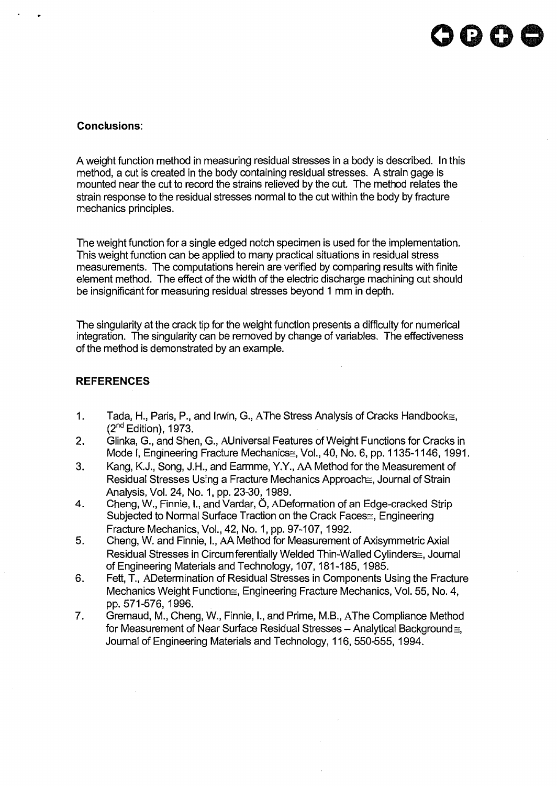#### **Conclusions:**

A weight function method in measuring residual stresses in a body is described. In this method, a cut is created in the body containing residual stresses. A strain gage is mounted near the cut to record the strains relieved by the cut. The method relates the strain response to the residual stresses normal to the cut within the body by fracture mechanics principles.

The weight function for a single edged notch specimen is used for the implementation. This weight function can be applied to many practical situations in residual stress measurements. The computations herein are verified by comparing results with finite element method. The effect of the width of the electric discharge machining cut should be insignificant for measuring residual stresses beyond 1 mm in depth.

The singularity at the crack tip for the weight function presents a difficulty for numerical integration. The singularity can be removed by change of variables. The effectiveness of the method is demonstrated by an example.

#### **REFERENCES**

- 1. Tada, H., Paris, P., and Irwin, G., AThe Stress Analysis of Cracks Handbook≅. (2<sup>nd</sup> Edition), 1973.
- 2. Glinka, G., and Shen, G., AUniversal Features of Weight Functions for Cracks in Mode I, Engineering Fracture Mechanics - Vol., 40, No. 6, pp. 1135-1146, 1991.
- 3. Kang, K.J., Song, J.H., and Earmme, Y.Y., AA Method for the Measurement of Residual Stresses Using a Fracture Mechanics Approache, Journal of Strain Analysis, Vol. 24, No. 1, pp. 23-30, 1989.
- 4. Cheng, W., Finnie, I., and Vardar, 6, ADeformation of an Edge-cracked Strip Subjected to Normal Surface Traction on the Crack Faces =, Engineering Fracture Mechanics, Vol., 42, No. 1, pp. 97-107,1992.
- 5. Cheng, W. and Finnie, I., AA Method for Measurement of Axisymmetric Axial Residual Stresses in Circum ferentially Welded Thin-Walled Cylinders: Journal of Engineering Materials and Technology, 107,181-185, 1985.
- 6. Fett, T., ADetermination of Residual Stresses in Components Using the Fracture Mechanics Weight Function $\approx$ , Engineering Fracture Mechanics, Vol. 55, No. 4, pp. 571-576, 1996.
- 7. Gremaud, M., Cheng, W., Finnie, I., and Prime, M.B., AThe Compliance Method for Measurement of Near Surface Residual Stresses - Analytical Background $\equiv$ . Journal of Engineering Materials and Technology, 116, 550-555, 1994.